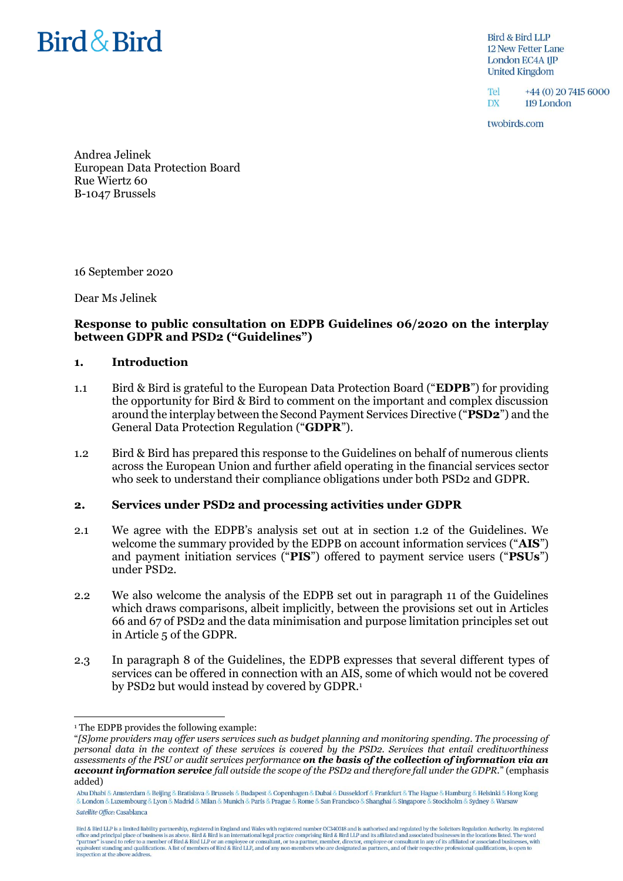# Bird & Bird

Bird & Bird LLP **12 New Fetter Lane** London EC4A 1JP **United Kingdom** 

 $T_{\text{el}}$ +44 (0) 20 7415 6000 **DX** 119 London

twobirds.com

Andrea Jelinek European Data Protection Board Rue Wiertz 60 B-1047 Brussels

16 September 2020

Dear Ms Jelinek

# **Response to public consultation on EDPB Guidelines 06/2020 on the interplay between GDPR and PSD2 ("Guidelines")**

#### **1. Introduction**

- 1.1 Bird & Bird is grateful to the European Data Protection Board ("**EDPB**") for providing the opportunity for Bird & Bird to comment on the important and complex discussion around the interplay between the Second Payment Services Directive ("**PSD2**") and the General Data Protection Regulation ("**GDPR**").
- 1.2 Bird & Bird has prepared this response to the Guidelines on behalf of numerous clients across the European Union and further afield operating in the financial services sector who seek to understand their compliance obligations under both PSD2 and GDPR.

# **2. Services under PSD2 and processing activities under GDPR**

- 2.1 We agree with the EDPB's analysis set out at in section 1.2 of the Guidelines. We welcome the summary provided by the EDPB on account information services ("**AIS**") and payment initiation services ("**PIS**") offered to payment service users ("**PSUs**") under PSD2.
- 2.2 We also welcome the analysis of the EDPB set out in paragraph 11 of the Guidelines which draws comparisons, albeit implicitly, between the provisions set out in Articles 66 and 67 of PSD2 and the data minimisation and purpose limitation principles set out in Article 5 of the GDPR.
- <span id="page-0-0"></span>2.3 In paragraph 8 of the Guidelines, the EDPB expresses that several different types of services can be offered in connection with an AIS, some of which would not be covered by PSD2 but would instead by covered by GDPR.<sup>1</sup>

 $\overline{a}$ 

<sup>&</sup>lt;sup>1</sup> The EDPB provides the following example:

<sup>&</sup>quot;*[S]ome providers may offer users services such as budget planning and monitoring spending. The processing of personal data in the context of these services is covered by the PSD2. Services that entail creditworthiness assessments of the PSU or audit services performance on the basis of the collection of information via an account information service fall outside the scope of the PSD2 and therefore fall under the GDPR.*" (emphasis added)

Abu Dhabi & Amsterdam & Beijing & Bratislava & Brussels & Budapest & Copenhagen & Dubai & Dusseldorf & Frankfurt & The Hague & Hamburg & Helsinki & Hong Kong & London & Luxembourg & Lyon & Madrid & Milan & Munich & Paris & Prague & Rome & San Francisco & Shanghai & Singapore & Stockholm & Sydney & Warsaw Satellite Office: Casablanca

Bird & Bird LLP is a limited liability partnership, registered in England and Wales with registered number OC340318 and is authorised and regulated by the Solicitors Regulation Authority. Its registered office and principa equivalent standing and qualifications. A list of members of Bird & Bird LLP, and of any non-members who are designated as partners, and of their respective professional qualifications, is open to inspection at the above address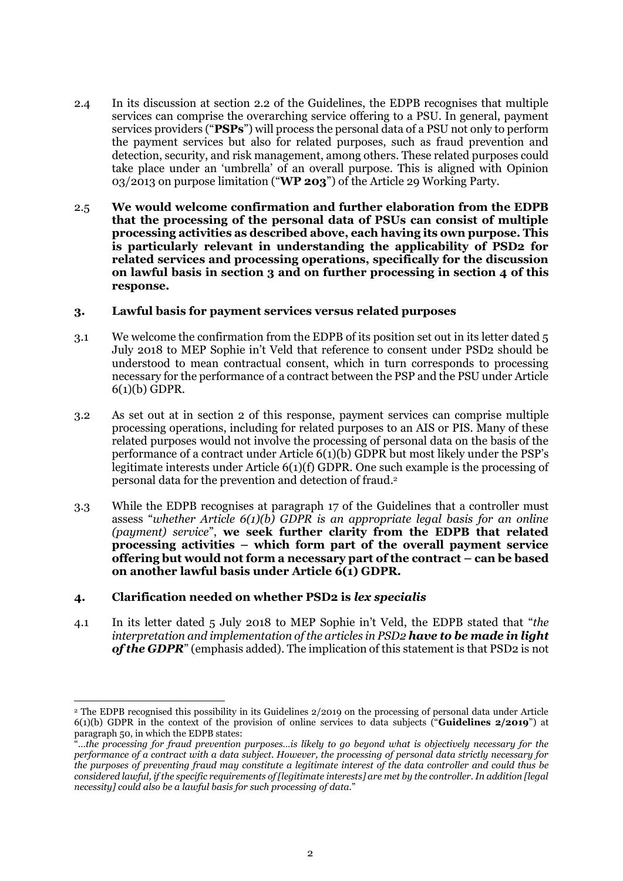- 2.4 In its discussion at section 2.2 of the Guidelines, the EDPB recognises that multiple services can comprise the overarching service offering to a PSU. In general, payment services providers ("**PSPs**") will process the personal data of a PSU not only to perform the payment services but also for related purposes, such as fraud prevention and detection, security, and risk management, among others. These related purposes could take place under an 'umbrella' of an overall purpose. This is aligned with Opinion 03/2013 on purpose limitation ("**WP 203**") of the Article 29 Working Party.
- 2.5 **We would welcome confirmation and further elaboration from the EDPB that the processing of the personal data of PSUs can consist of multiple processing activities as described above, each having its own purpose. This is particularly relevant in understanding the applicability of PSD2 for related services and processing operations, specifically for the discussion on lawful basis in section 3 and on further processing in section 4 of this response.**

# **3. Lawful basis for payment services versus related purposes**

- 3.1 We welcome the confirmation from the EDPB of its position set out in its letter dated 5 July 2018 to MEP Sophie in't Veld that reference to consent under PSD2 should be understood to mean contractual consent, which in turn corresponds to processing necessary for the performance of a contract between the PSP and the PSU under Article 6(1)(b) GDPR.
- 3.2 As set out at in section 2 of this response, payment services can comprise multiple processing operations, including for related purposes to an AIS or PIS. Many of these related purposes would not involve the processing of personal data on the basis of the performance of a contract under Article 6(1)(b) GDPR but most likely under the PSP's legitimate interests under Article 6(1)(f) GDPR. One such example is the processing of personal data for the prevention and detection of fraud. 2
- 3.3 While the EDPB recognises at paragraph 17 of the Guidelines that a controller must assess "*whether Article 6(1)(b) GDPR is an appropriate legal basis for an online (payment) service*", **we seek further clarity from the EDPB that related processing activities – which form part of the overall payment service offering but would not form a necessary part of the contract – can be based on another lawful basis under Article 6(1) GDPR.**

# **4. Clarification needed on whether PSD2 is** *lex specialis*

 $\overline{a}$ 

4.1 In its letter dated 5 July 2018 to MEP Sophie in't Veld, the EDPB stated that "*the interpretation and implementation of the articles in PSD2 have to be made in light of the GDPR*" (emphasis added). The implication of this statement is that PSD2 is not

<sup>2</sup> The EDPB recognised this possibility in its Guidelines 2/2019 on the processing of personal data under Article 6(1)(b) GDPR in the context of the provision of online services to data subjects ("**Guidelines 2/2019**") at paragraph 50, in which the EDPB states:

<sup>&</sup>quot;*…the processing for fraud prevention purposes…is likely to go beyond what is objectively necessary for the performance of a contract with a data subject. However, the processing of personal data strictly necessary for the purposes of preventing fraud may constitute a legitimate interest of the data controller and could thus be considered lawful, if the specific requirements of [legitimate interests] are met by the controller. In addition [legal necessity] could also be a lawful basis for such processing of data.*"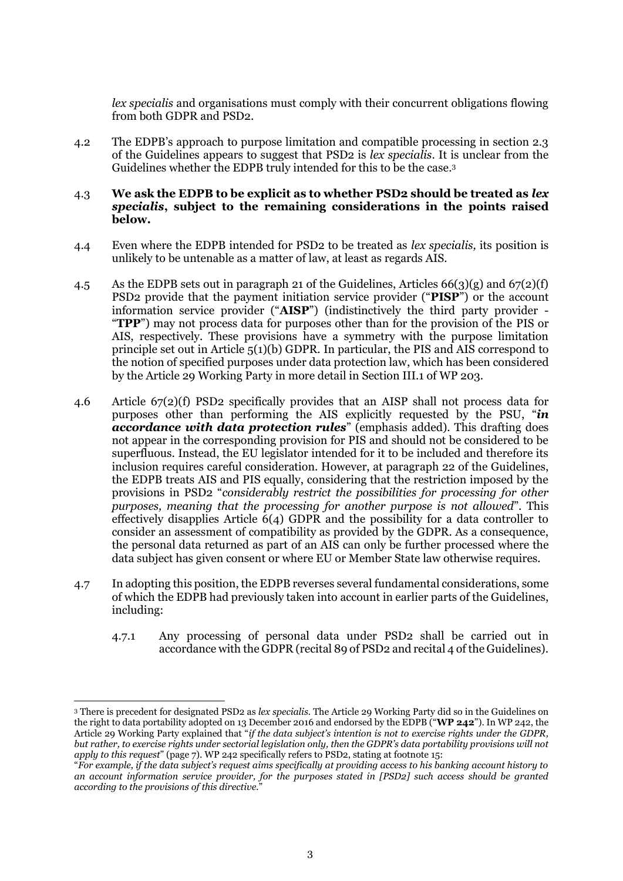*lex specialis* and organisations must comply with their concurrent obligations flowing from both GDPR and PSD2.

4.2 The EDPB's approach to purpose limitation and compatible processing in section 2.3 of the Guidelines appears to suggest that PSD2 is *lex specialis*. It is unclear from the Guidelines whether the EDPB truly intended for this to be the case. 3

#### 4.3 **We ask the EDPB to be explicit as to whether PSD2 should be treated as** *lex specialis***, subject to the remaining considerations in the points raised below.**

- 4.4 Even where the EDPB intended for PSD2 to be treated as *lex specialis,* its position is unlikely to be untenable as a matter of law, at least as regards AIS.
- 4.5 As the EDPB sets out in paragraph 21 of the Guidelines, Articles  $66(3)(g)$  and  $67(2)(f)$ PSD2 provide that the payment initiation service provider ("**PISP**") or the account information service provider ("**AISP**") (indistinctively the third party provider - "**TPP**") may not process data for purposes other than for the provision of the PIS or AIS, respectively. These provisions have a symmetry with the purpose limitation principle set out in Article 5(1)(b) GDPR. In particular, the PIS and AIS correspond to the notion of specified purposes under data protection law, which has been considered by the Article 29 Working Party in more detail in Section III.1 of WP 203.
- 4.6 Article 67(2)(f) PSD2 specifically provides that an AISP shall not process data for purposes other than performing the AIS explicitly requested by the PSU, "*in accordance with data protection rules*" (emphasis added). This drafting does not appear in the corresponding provision for PIS and should not be considered to be superfluous. Instead, the EU legislator intended for it to be included and therefore its inclusion requires careful consideration. However, at paragraph 22 of the Guidelines, the EDPB treats AIS and PIS equally, considering that the restriction imposed by the provisions in PSD2 "*considerably restrict the possibilities for processing for other purposes, meaning that the processing for another purpose is not allowed*". This effectively disapplies Article 6(4) GDPR and the possibility for a data controller to consider an assessment of compatibility as provided by the GDPR. As a consequence, the personal data returned as part of an AIS can only be further processed where the data subject has given consent or where EU or Member State law otherwise requires.
- 4.7 In adopting this position, the EDPB reverses several fundamental considerations, some of which the EDPB had previously taken into account in earlier parts of the Guidelines, including:
	- 4.7.1 Any processing of personal data under PSD2 shall be carried out in accordance with the GDPR (recital 89 of PSD2 and recital 4 of the Guidelines).

 $\overline{a}$ 

<sup>3</sup> There is precedent for designated PSD2 as *lex specialis.* The Article 29 Working Party did so in the Guidelines on the right to data portability adopted on 13 December 2016 and endorsed by the EDPB ("**WP 242**"). In WP 242, the Article 29 Working Party explained that "*if the data subject's intention is not to exercise rights under the GDPR, but rather, to exercise rights under sectorial legislation only, then the GDPR's data portability provisions will not apply to this request*" (page 7). WP 242 specifically refers to PSD2, stating at footnote 15:

<sup>&</sup>quot;*For example, if the data subject's request aims specifically at providing access to his banking account history to an account information service provider, for the purposes stated in [PSD2] such access should be granted according to the provisions of this directive.*"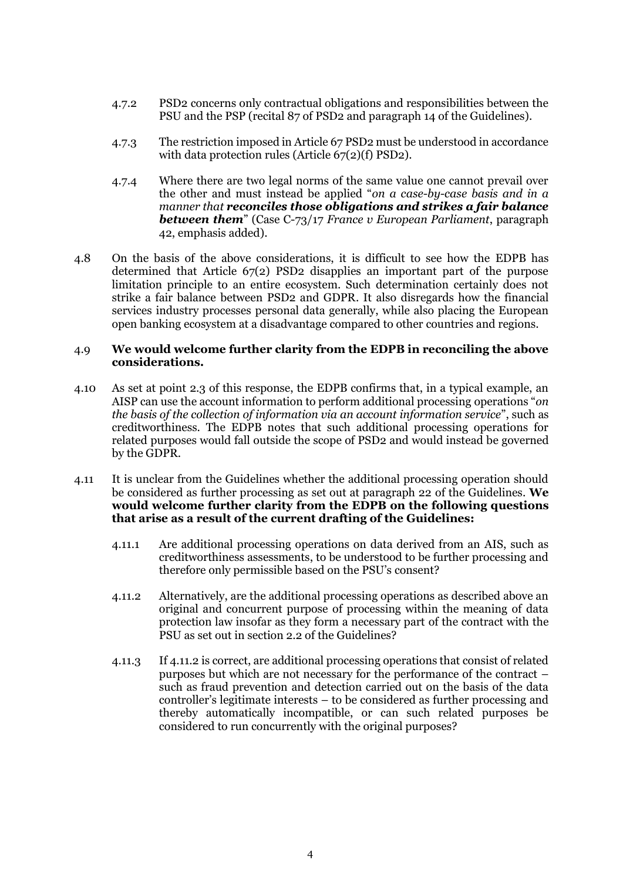- 4.7.2 PSD2 concerns only contractual obligations and responsibilities between the PSU and the PSP (recital 87 of PSD2 and paragraph 14 of the Guidelines).
- 4.7.3 The restriction imposed in Article 67 PSD2 must be understood in accordance with data protection rules (Article 67(2)(f) PSD2).
- 4.7.4 Where there are two legal norms of the same value one cannot prevail over the other and must instead be applied "*on a case-by-case basis and in a manner that reconciles those obligations and strikes a fair balance between them*" (Case C-73/17 *France v European Parliament*, paragraph 42, emphasis added).
- 4.8 On the basis of the above considerations, it is difficult to see how the EDPB has determined that Article 67(2) PSD2 disapplies an important part of the purpose limitation principle to an entire ecosystem. Such determination certainly does not strike a fair balance between PSD2 and GDPR. It also disregards how the financial services industry processes personal data generally, while also placing the European open banking ecosystem at a disadvantage compared to other countries and regions.

# 4.9 **We would welcome further clarity from the EDPB in reconciling the above considerations.**

- 4.10 As set at point [2.3](#page-0-0) of this response, the EDPB confirms that, in a typical example, an AISP can use the account information to perform additional processing operations "*on the basis of the collection of information via an account information service*", such as creditworthiness. The EDPB notes that such additional processing operations for related purposes would fall outside the scope of PSD2 and would instead be governed by the GDPR.
- 4.11 It is unclear from the Guidelines whether the additional processing operation should be considered as further processing as set out at paragraph 22 of the Guidelines. **We would welcome further clarity from the EDPB on the following questions that arise as a result of the current drafting of the Guidelines:**
	- 4.11.1 Are additional processing operations on data derived from an AIS, such as creditworthiness assessments, to be understood to be further processing and therefore only permissible based on the PSU's consent?
	- 4.11.2 Alternatively, are the additional processing operations as described above an original and concurrent purpose of processing within the meaning of data protection law insofar as they form a necessary part of the contract with the PSU as set out in section 2.2 of the Guidelines?
	- 4.11.3 If 4.11.2 is correct, are additional processing operations that consist of related purposes but which are not necessary for the performance of the contract – such as fraud prevention and detection carried out on the basis of the data controller's legitimate interests – to be considered as further processing and thereby automatically incompatible, or can such related purposes be considered to run concurrently with the original purposes?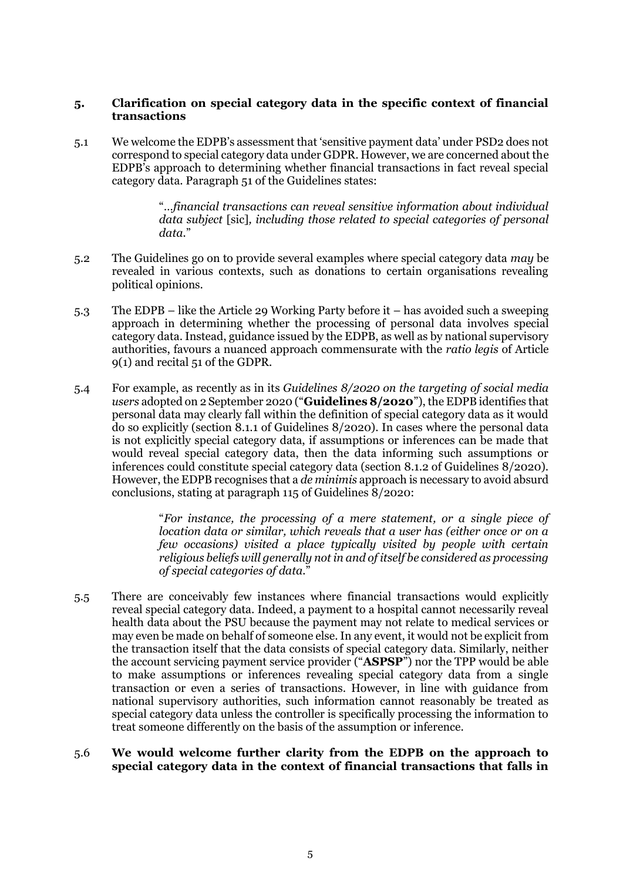# **5. Clarification on special category data in the specific context of financial transactions**

5.1 We welcome the EDPB's assessment that 'sensitive payment data' under PSD2 does not correspond to special category data under GDPR. However, we are concerned about the EDPB's approach to determining whether financial transactions in fact reveal special category data. Paragraph 51 of the Guidelines states:

> "*…financial transactions can reveal sensitive information about individual data subject* [sic]*, including those related to special categories of personal data.*"

- 5.2 The Guidelines go on to provide several examples where special category data *may* be revealed in various contexts, such as donations to certain organisations revealing political opinions.
- 5.3 The EDPB like the Article 29 Working Party before it has avoided such a sweeping approach in determining whether the processing of personal data involves special category data. Instead, guidance issued by the EDPB, as well as by national supervisory authorities, favours a nuanced approach commensurate with the *ratio legis* of Article 9(1) and recital 51 of the GDPR.
- 5.4 For example, as recently as in its *Guidelines 8/2020 on the targeting of social media users* adopted on 2 September 2020 ("**Guidelines 8/2020**"), the EDPB identifies that personal data may clearly fall within the definition of special category data as it would do so explicitly (section 8.1.1 of Guidelines 8/2020). In cases where the personal data is not explicitly special category data, if assumptions or inferences can be made that would reveal special category data, then the data informing such assumptions or inferences could constitute special category data (section 8.1.2 of Guidelines 8/2020). However, the EDPB recognises that a *de minimis* approach is necessary to avoid absurd conclusions, stating at paragraph 115 of Guidelines 8/2020:

"*For instance, the processing of a mere statement, or a single piece of location data or similar, which reveals that a user has (either once or on a few occasions) visited a place typically visited by people with certain religious beliefs will generally not in and of itself be considered as processing of special categories of data.*"

5.5 There are conceivably few instances where financial transactions would explicitly reveal special category data. Indeed, a payment to a hospital cannot necessarily reveal health data about the PSU because the payment may not relate to medical services or may even be made on behalf of someone else. In any event, it would not be explicit from the transaction itself that the data consists of special category data. Similarly, neither the account servicing payment service provider ("**ASPSP**") nor the TPP would be able to make assumptions or inferences revealing special category data from a single transaction or even a series of transactions. However, in line with guidance from national supervisory authorities, such information cannot reasonably be treated as special category data unless the controller is specifically processing the information to treat someone differently on the basis of the assumption or inference.

#### 5.6 **We would welcome further clarity from the EDPB on the approach to special category data in the context of financial transactions that falls in**